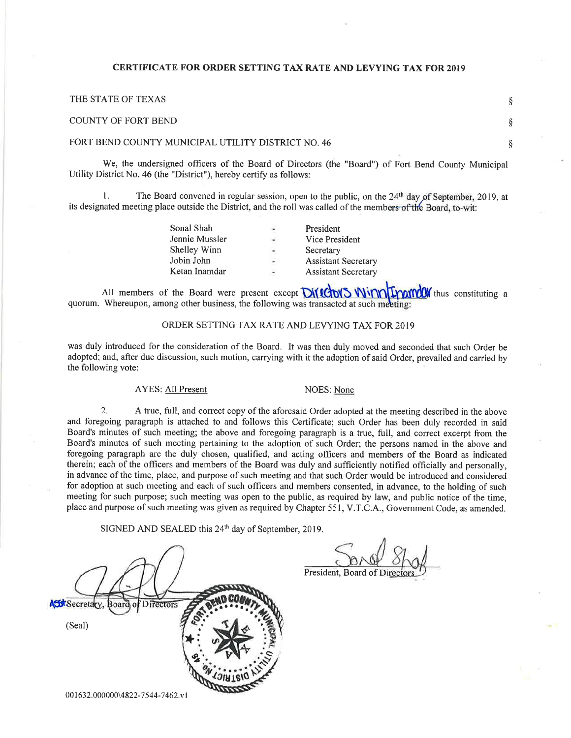### CERTIFICATE FOR ORDER SETTING TAX RATE AND LEVYING TAX FOR 2OI9

| THE STATE OF TEXAS                                 |  |
|----------------------------------------------------|--|
| COUNTY OF FORT BEND                                |  |
| FORT BEND COUNTY MUNICIPAL UTILITY DISTRICT NO. 46 |  |

We, the undersigned officers of the Board of Directors (the "Board") of Fort Bend County Municipal Utility District No. 46 (the "District"), hereby certify as follows:

1. The Board convened in regular session, open to the public, on the  $24<sup>th</sup>$  day of September, 2019, at its designated meeting place outside the District, and the roll was called of the members of the Board, to-wit:

| Sonal Shah     | ۰                        | President                  |
|----------------|--------------------------|----------------------------|
| Jennie Mussler | $\blacksquare$           | Vice President             |
| Shelley Winn   | $\blacksquare$           | Secretary                  |
| Jobin John     | $\rightarrow$            | <b>Assistant Secretary</b> |
| Ketan Inamdar  | $\overline{\phantom{a}}$ | <b>Assistant Secretary</b> |
|                |                          |                            |

All members of the Board were present except Diversion Winnit work thus constituting a quorum. Whereupon, among other business, the following was transacted at such meeting:

#### ORDER SETTING TAX RATE AND LEVYING TAX FOR 2OI9

was duly introduced for the consideration of the Board. It was then duly moved and seconded that such Order be adopted; and, after due discussion, such motion, carrying with it the adoption of said Order, prevailed and carried by the following vote:

#### AYES: All Present NOES: None

President, Board of

2. A true, full, and correct copy of the aforesaid Order adopted at the meeting described in the above and foregoing paragraph is attached to and follows this Certificate; such Order has been duly recorded in said Board's minutes of such meeting; the above and foregoing paragraph is a true, full, and correct excerpt from the Board's minutes of such meeting pertaining to the adoption of such Order; the persons named in the above and foregoing paragraph are the duly chosen, qualified, and acting officers and members of the Board as indicated therein; each of the officers and members of the Board was duly and sufficiently notified officially and personally, in advance of the time, place, and purpose of such meeting and that such Order would be introduced and considered for adoption at such meeting and each of such officers and members consented, in advance, to the holding of such meeting for such purpose; such meeting was open to the public, as required by law, and public notice of the time, place and purpose of such meeting was given as required by Chapter 551, V.T.C.A., Government Code, as amended.

SIGNED AND SEALED this 24<sup>th</sup> day of September, 2019.

# **SK**Secretary **Directors** a a a , (Seal) I \*: sِ<br>چ U

00 1632.000000\4822-7544-7462.v1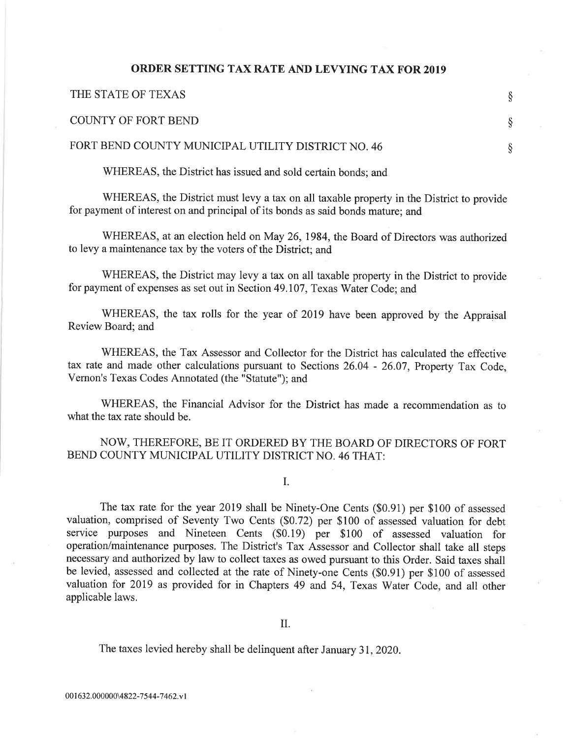### ORDER SETTING TAX RATE AND LEVYING TAX FOR 2019

| THE STATE OF TEXAS                                 |  |
|----------------------------------------------------|--|
| COUNTY OF FORT BEND                                |  |
| FORT BEND COUNTY MUNICIPAL UTILITY DISTRICT NO. 46 |  |

WHEREAS, the District has issued and sold certain bonds; and

WHEREAS, the District must levy a tax on all taxable property in the District to provide for payment of interest on and principal of its bonds as said bonds mature; and

WHEREAS, at an election held on May 26, 1984, the Board of Directors was authorized to levy a maintenance tax by the voters of the District; and

WHEREAS, the District may levy a tax on all taxable property in the District to provide for payment of expenses as set out in Section 49.I07, Texas Water Code; and

WHEREAS, the tax rolls for the year of 2019 have been approved by the Appraisal Review Board; and

WHEREAS, the Tax Assessor and Collector for the District has calculated the effective tax rate and made other calculations pursuant to Sections26.04 - 26.07, Property Tax Code, Vernon's Texas Codes Annotated (the "Statute"); and

WHEREAS, the Financial Advisor for the District has made a recommendation as to what the tax rate should be.

# NOW, THEREFORE, BE IT ORDERED BY THE BOARD OF DIRECTORS OF FORT BEND COUNTY MUNICIPAL UTILITY DISTRICT NO. 46 THAT:

I.

The tax rate for the year 2019 shall be Ninety-One Cents (\$0.91) per \$100 of assessed valuation, comprised of Seventy Two Cents (\$0.72) per \$100 of assessed valuation for debt service purposes and Nineteen Cents (\$0.19) per \$100 of assessed valuation for operation/maintenance purposes. The District's Tax Assessor and Collector shall take all steps necessary and authorized by law to collect taxes as owed pursuant to this Order. Said taxes shall be levied, assessed and collected at the rate of Ninety-one Cents (\$0.91) per \$100 of assessed valuation for 2019 as provided for in Chapters 49 and 54, Texas Water Code, and all other applicable laws.

The taxes levied hereby shall be delinquent after January 31,2020.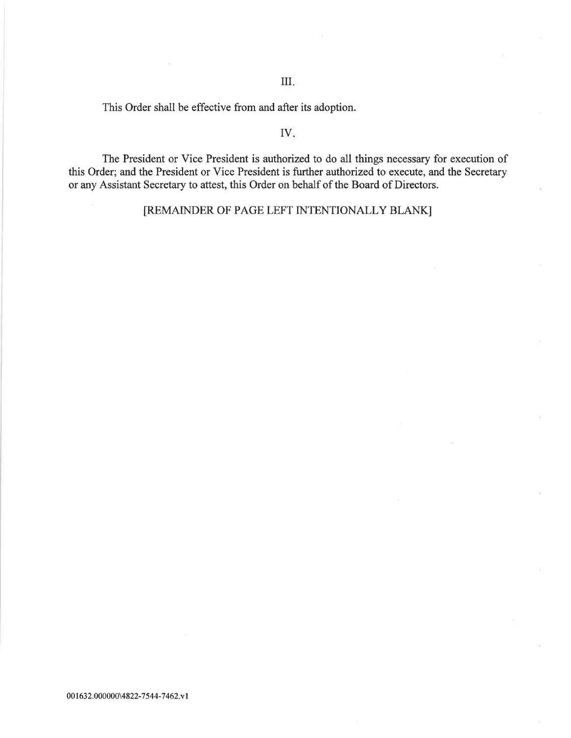This Order shall be effective from and after its adoption.

## IV

The President or Vice President is authorized to do all things necessary for execution of this Order; and the President or Vice President is further authorized to execute, and the Secretary or any Assistant Secretary to attest, this Order on behalf of the Board of Directors.

[REMAINDER OF PAGE LEFT INTENTIONALLY BLANK]